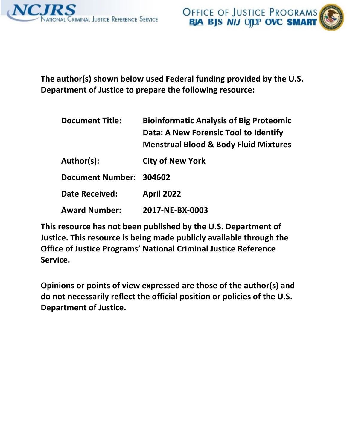



**The author(s) shown below used Federal funding provided by the U.S. Department of Justice to prepare the following resource:** 

| <b>Document Title:</b>  | <b>Bioinformatic Analysis of Big Proteomic</b><br>Data: A New Forensic Tool to Identify<br><b>Menstrual Blood &amp; Body Fluid Mixtures</b> |
|-------------------------|---------------------------------------------------------------------------------------------------------------------------------------------|
| Author(s):              | <b>City of New York</b>                                                                                                                     |
| Document Number: 304602 |                                                                                                                                             |
| <b>Date Received:</b>   | <b>April 2022</b>                                                                                                                           |
| <b>Award Number:</b>    | 2017-NE-BX-0003                                                                                                                             |

**This resource has not been published by the U.S. Department of Justice. This resource is being made publicly available through the Office of Justice Programs' National Criminal Justice Reference Service.** 

**Opinions or points of view expressed are those of the author(s) and do not necessarily reflect the official position or policies of the U.S. Department of Justice.**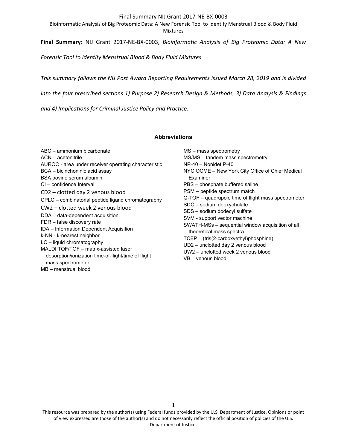Bioinformatic Analysis of Big Proteomic Data: A New Forensic Tool to Identify Menstrual Blood & Body Fluid Mixtures

**Final Summary**: NIJ Grant 2017-NE-BX-0003, *Bioinformatic Analysis of Big Proteomic Data: A New* 

*Forensic Tool to Identify Menstrual Blood & Body Fluid Mixtures*

*This summary follows the NIJ Post Award Reporting Requirements issued March 28, 2019 and is divided* 

*into the four prescribed sections 1) Purpose 2) Research Design & Methods, 3) Data Analysis & Findings* 

*and 4) Implications for Criminal Justice Policy and Practice.*

# **Abbreviations**

ABC – ammonium bicarbonate ACN – acetonitrile AUROC - area under receiver operating characteristic BCA – bicinchoninic acid assay BSA bovine serum albumin CI – confidence Interval CD2 – clotted day 2 venous blood CPLC – combinatorial peptide ligand chromatography CW2 – clotted week 2 venous blood DDA – data-dependent acquisition FDR – false discovery rate IDA – Information Dependent Acquisition k-NN - k-nearest neighbor LC – liquid chromatography MALDI TOF/TOF – matrix-assisted laser desorption/ionization time-of-flight/time of flight mass spectrometer

MB – menstrual blood

MS – mass spectrometry MS/MS – tandem mass spectrometry NP-40 – Nonidet P-40 NYC OCME – New York City Office of Chief Medical Examiner PBS – phosphate buffered saline PSM – peptide spectrum match Q-TOF – quadrupole time of flight mass spectrometer SDC – sodium deoxycholate SDS – sodium dodecyl sulfate SVM - support vector machine SWATH-MSs – sequential window acquisition of all theoretical mass spectra TCEP – (tris(2-carboxyethyl)phosphine) UD2 – unclotted day 2 venous blood UW2 – unclotted week 2 venous blood VB – venous blood

This resource was prepared by the author(s) using Federal funds provided by the U.S. Department of Justice. Opinions or point of view expressed are those of the author(s) and do not necessarily reflect the official position of policies of the U.S. Department of Justice.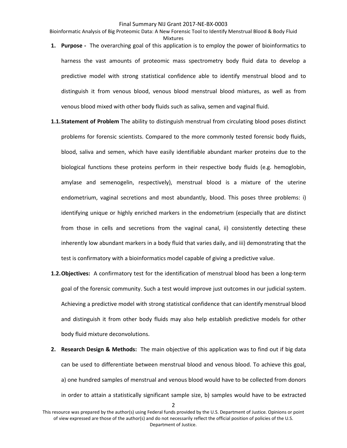Bioinformatic Analysis of Big Proteomic Data: A New Forensic Tool to Identify Menstrual Blood & Body Fluid Mixtures

- **1. Purpose -** The overarching goal of this application is to employ the power of bioinformatics to harness the vast amounts of proteomic mass spectrometry body fluid data to develop a predictive model with strong statistical confidence able to identify menstrual blood and to distinguish it from venous blood, venous blood menstrual blood mixtures, as well as from venous blood mixed with other body fluids such as saliva, semen and vaginal fluid.
- **1.1.Statement of Problem** The ability to distinguish menstrual from circulating blood poses distinct problems for forensic scientists. Compared to the more commonly tested forensic body fluids, blood, saliva and semen, which have easily identifiable abundant marker proteins due to the biological functions these proteins perform in their respective body fluids (e.g. hemoglobin, amylase and semenogelin, respectively), menstrual blood is a mixture of the uterine endometrium, vaginal secretions and most abundantly, blood. This poses three problems: i) identifying unique or highly enriched markers in the endometrium (especially that are distinct from those in cells and secretions from the vaginal canal, ii) consistently detecting these inherently low abundant markers in a body fluid that varies daily, and iii) demonstrating that the test is confirmatory with a bioinformatics model capable of giving a predictive value.
- **1.2.Objectives:** A confirmatory test for the identification of menstrual blood has been a long-term goal of the forensic community. Such a test would improve just outcomes in our judicial system. Achieving a predictive model with strong statistical confidence that can identify menstrual blood and distinguish it from other body fluids may also help establish predictive models for other body fluid mixture deconvolutions.
- **2. Research Design & Methods:** The main objective of this application was to find out if big data can be used to differentiate between menstrual blood and venous blood. To achieve this goal, a) one hundred samples of menstrual and venous blood would have to be collected from donors in order to attain a statistically significant sample size, b) samples would have to be extracted

This resource was prepared by the author(s) using Federal funds provided by the U.S. Department of Justice. Opinions or point of view expressed are those of the author(s) and do not necessarily reflect the official position of policies of the U.S. Department of Justice.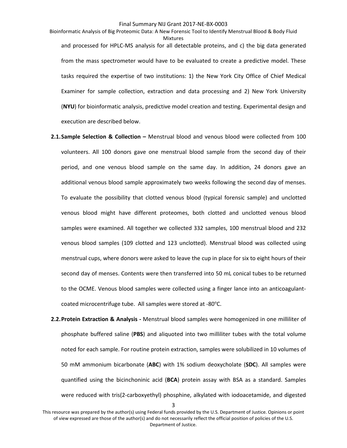Bioinformatic Analysis of Big Proteomic Data: A New Forensic Tool to Identify Menstrual Blood & Body Fluid Mixtures and processed for HPLC-MS analysis for all detectable proteins, and c) the big data generated from the mass spectrometer would have to be evaluated to create a predictive model. These tasks required the expertise of two institutions: 1) the New York City Office of Chief Medical Examiner for sample collection, extraction and data processing and 2) New York University (**NYU**) for bioinformatic analysis, predictive model creation and testing. Experimental design and execution are described below.

- **2.1.Sample Selection & Collection –** Menstrual blood and venous blood were collected from 100 volunteers. All 100 donors gave one menstrual blood sample from the second day of their period, and one venous blood sample on the same day. In addition, 24 donors gave an additional venous blood sample approximately two weeks following the second day of menses. To evaluate the possibility that clotted venous blood (typical forensic sample) and unclotted venous blood might have different proteomes, both clotted and unclotted venous blood samples were examined. All together we collected 332 samples, 100 menstrual blood and 232 venous blood samples (109 clotted and 123 unclotted). Menstrual blood was collected using menstrual cups, where donors were asked to leave the cup in place for six to eight hours of their second day of menses. Contents were then transferred into 50 mL conical tubes to be returned to the OCME. Venous blood samples were collected using a finger lance into an anticoagulantcoated microcentrifuge tube. All samples were stored at -80°C.
- **2.2.Protein Extraction & Analysis -** Menstrual blood samples were homogenized in one milliliter of phosphate buffered saline (**PBS**) and aliquoted into two milliliter tubes with the total volume noted for each sample. For routine protein extraction, samples were solubilized in 10 volumes of 50 mM ammonium bicarbonate (**ABC**) with 1% sodium deoxycholate (**SDC**). All samples were quantified using the bicinchoninic acid (**BCA**) protein assay with BSA as a standard. Samples were reduced with tris(2-carboxyethyl) phosphine, alkylated with iodoacetamide, and digested

This resource was prepared by the author(s) using Federal funds provided by the U.S. Department of Justice. Opinions or point of view expressed are those of the author(s) and do not necessarily reflect the official position of policies of the U.S. Department of Justice.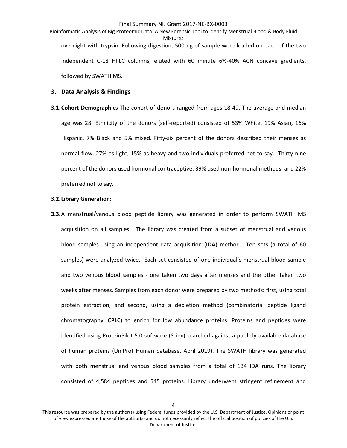Bioinformatic Analysis of Big Proteomic Data: A New Forensic Tool to Identify Menstrual Blood & Body Fluid Mixtures overnight with trypsin. Following digestion, 500 ng of sample were loaded on each of the two independent C-18 HPLC columns, eluted with 60 minute 6%-40% ACN concave gradients, followed by SWATH MS.

# **3. Data Analysis & Findings**

**3.1.Cohort Demographics** The cohort of donors ranged from ages 18-49. The average and median age was 28. Ethnicity of the donors (self-reported) consisted of 53% White, 19% Asian, 16% Hispanic, 7% Black and 5% mixed. Fifty-six percent of the donors described their menses as normal flow, 27% as light, 15% as heavy and two individuals preferred not to say. Thirty-nine percent of the donors used hormonal contraceptive, 39% used non-hormonal methods, and 22% preferred not to say.

# **3.2.Library Generation:**

**3.3.**A menstrual/venous blood peptide library was generated in order to perform SWATH MS acquisition on all samples. The library was created from a subset of menstrual and venous blood samples using an independent data acquisition (**IDA**) method. Ten sets (a total of 60 samples) were analyzed twice. Each set consisted of one individual's menstrual blood sample and two venous blood samples - one taken two days after menses and the other taken two weeks after menses. Samples from each donor were prepared by two methods: first, using total protein extraction, and second, using a depletion method (combinatorial peptide ligand chromatography, **CPLC**) to enrich for low abundance proteins. Proteins and peptides were identified using ProteinPilot 5.0 software (Sciex) searched against a publicly available database of human proteins (UniProt Human database, April 2019). The SWATH library was generated with both menstrual and venous blood samples from a total of 134 IDA runs. The library consisted of 4,584 peptides and 545 proteins. Library underwent stringent refinement and

This resource was prepared by the author(s) using Federal funds provided by the U.S. Department of Justice. Opinions or point of view expressed are those of the author(s) and do not necessarily reflect the official position of policies of the U.S. Department of Justice.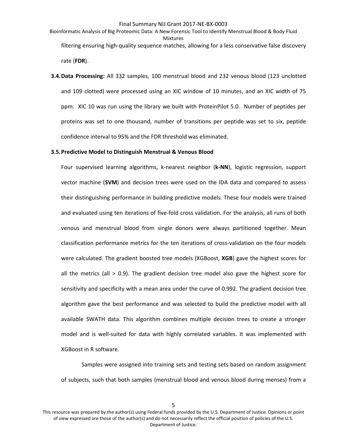- Bioinformatic Analysis of Big Proteomic Data: A New Forensic Tool to Identify Menstrual Blood & Body Fluid Mixtures filtering ensuring high-quality sequence matches, allowing for a less conservative false discovery rate (**FDR**).
- **3.4.Data Processing:** All 332 samples, 100 menstrual blood and 232 venous blood (123 unclotted and 109 clotted) were processed using an XIC window of 10 minutes, and an XIC width of 75 ppm. XIC 10 was run using the library we built with ProteinPilot 5.0. Number of peptides per proteins was set to one thousand, number of transitions per peptide was set to six, peptide confidence interval to 95% and the FDR threshold was eliminated.

# **3.5.Predictive Model to Distinguish Menstrual & Venous Blood**

Four supervised learning algorithms, k-nearest neighbor (**k-NN**), logistic regression, support vector machine (**SVM**) and decision trees were used on the IDA data and compared to assess their distinguishing performance in building predictive models. These four models were trained and evaluated using ten iterations of five-fold cross validation. For the analysis, all runs of both venous and menstrual blood from single donors were always partitioned together. Mean classification performance metrics for the ten iterations of cross-validation on the four models were calculated. The gradient boosted tree models (XGBoost, **XGB**) gave the highest scores for all the metrics (all  $> 0.9$ ). The gradient decision tree model also gave the highest score for sensitivity and specificity with a mean area under the curve of 0.992. The gradient decision tree algorithm gave the best performance and was selected to build the predictive model with all available SWATH data. This algorithm combines multiple decision trees to create a stronger model and is well-suited for data with highly correlated variables. It was implemented with XGBoost in R software.

Samples were assigned into training sets and testing sets based on random assignment of subjects, such that both samples (menstrual blood and venous blood during menses) from a

This resource was prepared by the author(s) using Federal funds provided by the U.S. Department of Justice. Opinions or point of view expressed are those of the author(s) and do not necessarily reflect the official position of policies of the U.S. Department of Justice.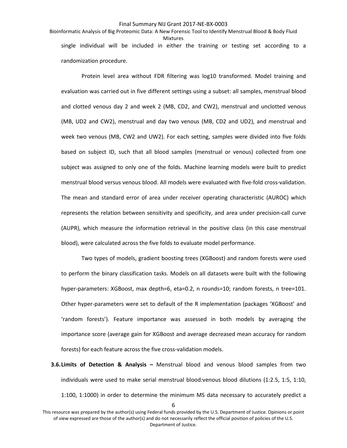Bioinformatic Analysis of Big Proteomic Data: A New Forensic Tool to Identify Menstrual Blood & Body Fluid Mixtures single individual will be included in either the training or testing set according to a randomization procedure.

Protein level area without FDR filtering was log10 transformed. Model training and evaluation was carried out in five different settings using a subset: all samples, menstrual blood and clotted venous day 2 and week 2 (MB, CD2, and CW2), menstrual and unclotted venous (MB, UD2 and CW2), menstrual and day two venous (MB, CD2 and UD2), and menstrual and week two venous (MB, CW2 and UW2). For each setting, samples were divided into five folds based on subject ID, such that all blood samples (menstrual or venous) collected from one subject was assigned to only one of the folds. Machine learning models were built to predict menstrual blood versus venous blood. All models were evaluated with five-fold cross-validation. The mean and standard error of area under receiver operating characteristic (AUROC) which represents the relation between sensitivity and specificity, and area under precision-call curve (AUPR), which measure the information retrieval in the positive class (in this case menstrual blood), were calculated across the five folds to evaluate model performance.

Two types of models, gradient boosting trees (XGBoost) and random forests were used to perform the binary classification tasks. Models on all datasets were built with the following hyper-parameters: XGBoost, max depth=6, eta=0.2, n rounds=10; random forests, n tree=101. Other hyper-parameters were set to default of the R implementation (packages 'XGBoost' and 'random forests'). Feature importance was assessed in both models by averaging the importance score (average gain for XGBoost and average decreased mean accuracy for random forests) for each feature across the five cross-validation models.

**3.6.Limits of Detection & Analysis –** Menstrual blood and venous blood samples from two individuals were used to make serial menstrual blood:venous blood dilutions (1:2.5, 1:5, 1:10, 1:100, 1:1000) in order to determine the minimum MS data necessary to accurately predict a

This resource was prepared by the author(s) using Federal funds provided by the U.S. Department of Justice. Opinions or point of view expressed are those of the author(s) and do not necessarily reflect the official position of policies of the U.S. Department of Justice.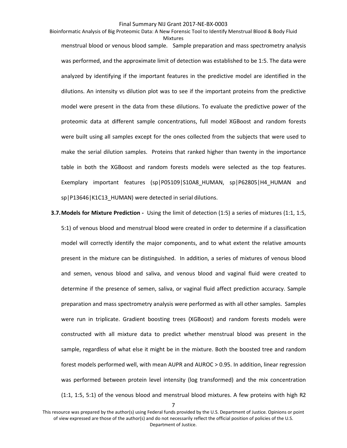Bioinformatic Analysis of Big Proteomic Data: A New Forensic Tool to Identify Menstrual Blood & Body Fluid Mixtures menstrual blood or venous blood sample. Sample preparation and mass spectrometry analysis was performed, and the approximate limit of detection was established to be 1:5. The data were analyzed by identifying if the important features in the predictive model are identified in the dilutions. An intensity vs dilution plot was to see if the important proteins from the predictive model were present in the data from these dilutions. To evaluate the predictive power of the proteomic data at different sample concentrations, full model XGBoost and random forests were built using all samples except for the ones collected from the subjects that were used to make the serial dilution samples. Proteins that ranked higher than twenty in the importance table in both the XGBoost and random forests models were selected as the top features. Exemplary important features (sp|P05109|S10A8 HUMAN, sp|P62805|H4 HUMAN and sp|P13646|K1C13\_HUMAN) were detected in serial dilutions.

**3.7.Models for Mixture Prediction -** Using the limit of detection (1:5) a series of mixtures (1:1, 1:5, 5:1) of venous blood and menstrual blood were created in order to determine if a classification model will correctly identify the major components, and to what extent the relative amounts present in the mixture can be distinguished. In addition, a series of mixtures of venous blood and semen, venous blood and saliva, and venous blood and vaginal fluid were created to determine if the presence of semen, saliva, or vaginal fluid affect prediction accuracy. Sample preparation and mass spectrometry analysis were performed as with all other samples. Samples were run in triplicate. Gradient boosting trees (XGBoost) and random forests models were constructed with all mixture data to predict whether menstrual blood was present in the sample, regardless of what else it might be in the mixture. Both the boosted tree and random forest models performed well, with mean AUPR and AUROC > 0.95. In addition, linear regression was performed between protein level intensity (log transformed) and the mix concentration (1:1, 1:5, 5:1) of the venous blood and menstrual blood mixtures. A few proteins with high R2

This resource was prepared by the author(s) using Federal funds provided by the U.S. Department of Justice. Opinions or point of view expressed are those of the author(s) and do not necessarily reflect the official position of policies of the U.S. Department of Justice.